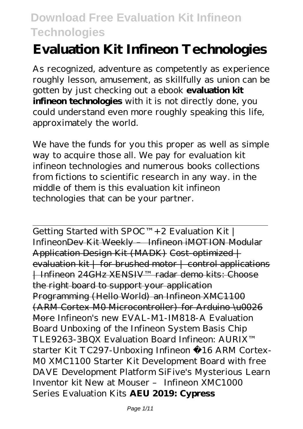# **Evaluation Kit Infineon Technologies**

As recognized, adventure as competently as experience roughly lesson, amusement, as skillfully as union can be gotten by just checking out a ebook **evaluation kit infineon technologies** with it is not directly done, you could understand even more roughly speaking this life, approximately the world.

We have the funds for you this proper as well as simple way to acquire those all. We pay for evaluation kit infineon technologies and numerous books collections from fictions to scientific research in any way. in the middle of them is this evaluation kit infineon technologies that can be your partner.

Getting Started with  $SPOC^{TM} + 2$  Evaluation Kit | InfineonDev Kit Weekly – Infineon iMOTION Modular Application Design Kit (MADK) Cost-optimized | evaluation kit | for brushed motor | control applications | Infineon 24GHz XENSIV™ radar demo kits: Choose the right board to support your application Programming (Hello World) an Infineon XMC1100 (ARM Cortex M0 Microcontroller) for Arduino \u0026 More *Infineon's new EVAL-M1-IM818-A Evaluation Board Unboxing of the Infineon System Basis Chip TLE9263-3BQX Evaluation Board Infineon: AURIX™ starter Kit TC297-Unboxing Infineon €16 ARM Cortex-M0 XMC1100 Starter Kit Development Board with free DAVE Development Platform SiFive's Mysterious Learn Inventor kit New at Mouser – Infineon XMC1000 Series Evaluation Kits* **AEU 2019: Cypress**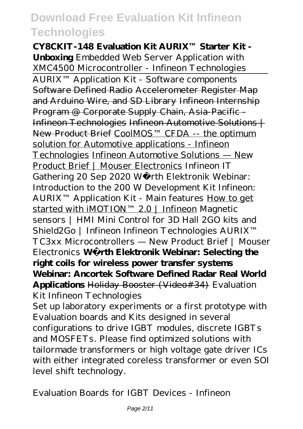**CY8CKIT-148 Evaluation Kit AURIX™ Starter Kit - Unboxing** Embedded Web Server Application with XMC4500 Microcontroller - Infineon Technologies AURIX™ Application Kit - Software components Software Defined Radio Accelerometer Register Map and Arduino Wire, and SD Library Infineon Internship Program @ Corporate Supply Chain, Asia-Pacific - Infineon Technologies Infineon Automotive Solutions | New Product Brief CoolMOS™ CFDA -- the optimum solution for Automotive applications - Infineon Technologies Infineon Automotive Solutions — New Product Brief | Mouser Electronics *Infineon IT Gathering 20 Sep 2020* Würth Elektronik Webinar: Introduction to the 200 W Development Kit Infineon: AURIX™ Application Kit - Main features How to get started with iMOTION™ 2.0 | Infineon *Magnetic sensors | HMI Mini Control for 3D Hall 2GO kits and Shield2Go | Infineon* Infineon Technologies AURIX™ TC3xx Microcontrollers — New Product Brief | Mouser Electronics **Würth Elektronik Webinar: Selecting the right coils for wireless power transfer systems Webinar: Ancortek Software Defined Radar Real World Applications** Holiday Booster (Video#34) *Evaluation Kit Infineon Technologies*

Set up laboratory experiments or a first prototype with Evaluation boards and Kits designed in several configurations to drive IGBT modules, discrete IGBTs and MOSFETs. Please find optimized solutions with tailormade transformers or high voltage gate driver ICs with either integrated coreless transformer or even SOI level shift technology.

*Evaluation Boards for IGBT Devices - Infineon*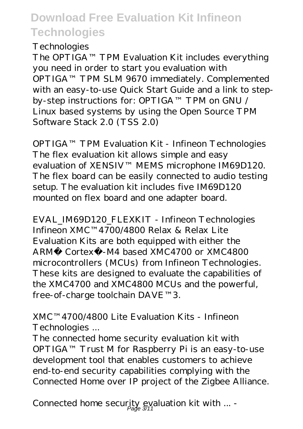#### *Technologies*

The OPTIGA™ TPM Evaluation Kit includes everything you need in order to start you evaluation with OPTIGA™ TPM SLM 9670 immediately. Complemented with an easy-to-use Quick Start Guide and a link to stepby-step instructions for: OPTIGA™ TPM on GNU / Linux based systems by using the Open Source TPM Software Stack 2.0 (TSS 2.0)

*OPTIGA™ TPM Evaluation Kit - Infineon Technologies* The flex evaluation kit allows simple and easy evaluation of XENSIV™ MEMS microphone IM69D120. The flex board can be easily connected to audio testing setup. The evaluation kit includes five IM69D120 mounted on flex board and one adapter board.

*EVAL\_IM69D120\_FLEXKIT - Infineon Technologies* Infineon XMC™4700/4800 Relax & Relax Lite Evaluation Kits are both equipped with either the ARM® Cortex®-M4 based XMC4700 or XMC4800 microcontrollers (MCUs) from Infineon Technologies. These kits are designed to evaluate the capabilities of the XMC4700 and XMC4800 MCUs and the powerful, free-of-charge toolchain DAVE™3.

#### *XMC™4700/4800 Lite Evaluation Kits - Infineon Technologies ...*

The connected home security evaluation kit with OPTIGA™ Trust M for Raspberry Pi is an easy-to-use development tool that enables customers to achieve end-to-end security capabilities complying with the Connected Home over IP project of the Zigbee Alliance.

*Connected home security evaluation kit with ... -* Page 3/11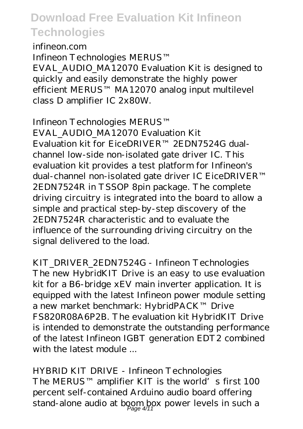#### *infineon.com*

Infineon Technologies MERUS™ EVAL\_AUDIO\_MA12070 Evaluation Kit is designed to quickly and easily demonstrate the highly power efficient MERUS™ MA12070 analog input multilevel class D amplifier IC 2x80W.

#### *Infineon Technologies MERUS™*

*EVAL\_AUDIO\_MA12070 Evaluation Kit* Evaluation kit for EiceDRIVER™ 2EDN7524G dualchannel low-side non-isolated gate driver IC. This evaluation kit provides a test platform for Infineon's dual-channel non-isolated gate driver IC EiceDRIVER™ 2EDN7524R in TSSOP 8pin package. The complete driving circuitry is integrated into the board to allow a simple and practical step-by-step discovery of the 2EDN7524R characteristic and to evaluate the influence of the surrounding driving circuitry on the signal delivered to the load.

### *KIT\_DRIVER\_2EDN7524G - Infineon Technologies*

The new HybridKIT Drive is an easy to use evaluation kit for a B6-bridge xEV main inverter application. It is equipped with the latest Infineon power module setting a new market benchmark: HybridPACK™ Drive FS820R08A6P2B. The evaluation kit HybridKIT Drive is intended to demonstrate the outstanding performance of the latest Infineon IGBT generation EDT2 combined with the latest module

#### *HYBRID KIT DRIVE - Infineon Technologies*

The MERUS™ amplifier KIT is the world's first 100 percent self-contained Arduino audio board offering stand-alone audio at boom box power levels in such a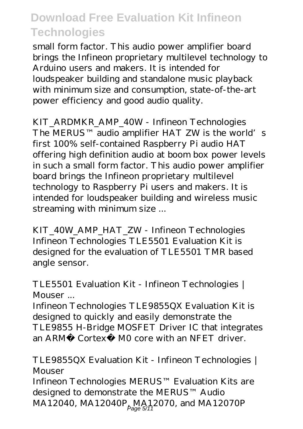small form factor. This audio power amplifier board brings the Infineon proprietary multilevel technology to Arduino users and makers. It is intended for loudspeaker building and standalone music playback with minimum size and consumption, state-of-the-art power efficiency and good audio quality.

*KIT\_ARDMKR\_AMP\_40W - Infineon Technologies* The MERUS™ audio amplifier HAT ZW is the world's first 100% self-contained Raspberry Pi audio HAT offering high definition audio at boom box power levels in such a small form factor. This audio power amplifier board brings the Infineon proprietary multilevel technology to Raspberry Pi users and makers. It is intended for loudspeaker building and wireless music streaming with minimum size ...

*KIT\_40W\_AMP\_HAT\_ZW - Infineon Technologies* Infineon Technologies TLE5501 Evaluation Kit is designed for the evaluation of TLE5501 TMR based angle sensor.

#### *TLE5501 Evaluation Kit - Infineon Technologies | Mouser ...*

Infineon Technologies TLE9855QX Evaluation Kit is designed to quickly and easily demonstrate the TLE9855 H-Bridge MOSFET Driver IC that integrates an ARM® Cortex® M0 core with an NFET driver.

#### *TLE9855QX Evaluation Kit - Infineon Technologies | Mouser*

Infineon Technologies MERUS™ Evaluation Kits are designed to demonstrate the MERUS™ Audio MA 1 2040, MA 1 2040P MA 1 2070, and MA 1 2070P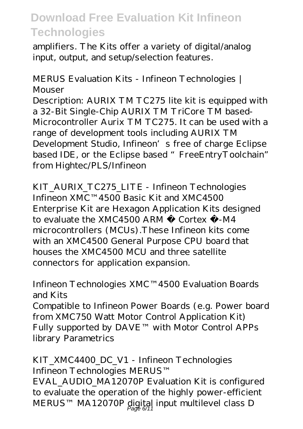amplifiers. The Kits offer a variety of digital/analog input, output, and setup/selection features.

#### *MERUS Evaluation Kits - Infineon Technologies | Mouser*

Description: AURIX TM TC275 lite kit is equipped with a 32-Bit Single-Chip AURIX TM TriCore TM based-Microcontroller Aurix TM TC275. It can be used with a range of development tools including AURIX TM Development Studio, Infineon's free of charge Eclipse based IDE, or the Eclipse based " FreeEntryToolchain" from Hightec/PLS/Infineon

*KIT\_AURIX\_TC275\_LITE - Infineon Technologies* Infineon XMC™4500 Basic Kit and XMC4500 Enterprise Kit are Hexagon Application Kits designed to evaluate the XMC4500 ARM ® Cortex ®-M4 microcontrollers (MCUs).These Infineon kits come with an XMC4500 General Purpose CPU board that houses the XMC4500 MCU and three satellite connectors for application expansion.

#### *Infineon Technologies XMC™4500 Evaluation Boards and Kits*

Compatible to Infineon Power Boards (e.g. Power board from XMC750 Watt Motor Control Application Kit) Fully supported by DAVE™ with Motor Control APPs library Parametrics

#### *KIT\_XMC4400\_DC\_V1 - Infineon Technologies* Infineon Technologies MERUS™

EVAL\_AUDIO\_MA12070P Evaluation Kit is configured to evaluate the operation of the highly power-efficient MERUS™ MA12070P digital input multilevel class D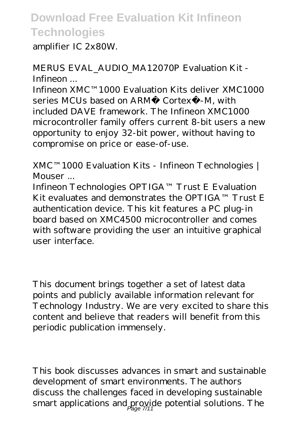amplifier IC 2x80W.

### *MERUS EVAL\_AUDIO\_MA12070P Evaluation Kit - Infineon ...*

Infineon XMC™1000 Evaluation Kits deliver XMC1000 series MCUs based on ARM® Cortex®-M, with included DAVE framework. The Infineon XMC1000 microcontroller family offers current 8-bit users a new opportunity to enjoy 32-bit power, without having to compromise on price or ease-of-use.

#### *XMC™1000 Evaluation Kits - Infineon Technologies | Mouser ...*

Infineon Technologies OPTIGA™ Trust E Evaluation Kit evaluates and demonstrates the OPTIGA™ Trust E authentication device. This kit features a PC plug-in board based on XMC4500 microcontroller and comes with software providing the user an intuitive graphical user interface.

This document brings together a set of latest data points and publicly available information relevant for Technology Industry. We are very excited to share this content and believe that readers will benefit from this periodic publication immensely.

This book discusses advances in smart and sustainable development of smart environments. The authors discuss the challenges faced in developing sustainable smart applications and provide potential solutions. The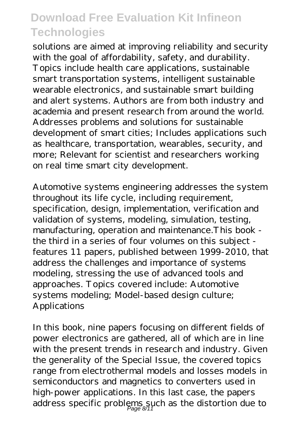solutions are aimed at improving reliability and security with the goal of affordability, safety, and durability. Topics include health care applications, sustainable smart transportation systems, intelligent sustainable wearable electronics, and sustainable smart building and alert systems. Authors are from both industry and academia and present research from around the world. Addresses problems and solutions for sustainable development of smart cities; Includes applications such as healthcare, transportation, wearables, security, and more; Relevant for scientist and researchers working on real time smart city development.

Automotive systems engineering addresses the system throughout its life cycle, including requirement, specification, design, implementation, verification and validation of systems, modeling, simulation, testing, manufacturing, operation and maintenance.This book the third in a series of four volumes on this subject features 11 papers, published between 1999-2010, that address the challenges and importance of systems modeling, stressing the use of advanced tools and approaches. Topics covered include: Automotive systems modeling; Model-based design culture; Applications

In this book, nine papers focusing on different fields of power electronics are gathered, all of which are in line with the present trends in research and industry. Given the generality of the Special Issue, the covered topics range from electrothermal models and losses models in semiconductors and magnetics to converters used in high-power applications. In this last case, the papers address specific problems such as the distortion due to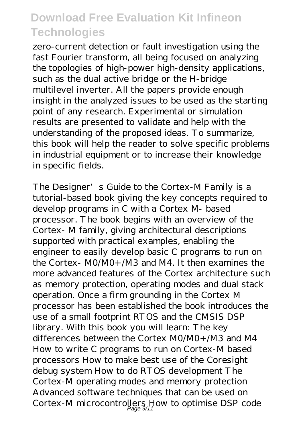zero-current detection or fault investigation using the fast Fourier transform, all being focused on analyzing the topologies of high-power high-density applications, such as the dual active bridge or the H-bridge multilevel inverter. All the papers provide enough insight in the analyzed issues to be used as the starting point of any research. Experimental or simulation results are presented to validate and help with the understanding of the proposed ideas. To summarize, this book will help the reader to solve specific problems in industrial equipment or to increase their knowledge in specific fields.

The Designer's Guide to the Cortex-M Family is a tutorial-based book giving the key concepts required to develop programs in C with a Cortex M- based processor. The book begins with an overview of the Cortex- M family, giving architectural descriptions supported with practical examples, enabling the engineer to easily develop basic C programs to run on the Cortex- M0/M0+/M3 and M4. It then examines the more advanced features of the Cortex architecture such as memory protection, operating modes and dual stack operation. Once a firm grounding in the Cortex M processor has been established the book introduces the use of a small footprint RTOS and the CMSIS DSP library. With this book you will learn: The key differences between the Cortex M0/M0+/M3 and M4 How to write C programs to run on Cortex-M based processors How to make best use of the Coresight debug system How to do RTOS development The Cortex-M operating modes and memory protection Advanced software techniques that can be used on Cortex-M microcontrollers How to optimise DSP code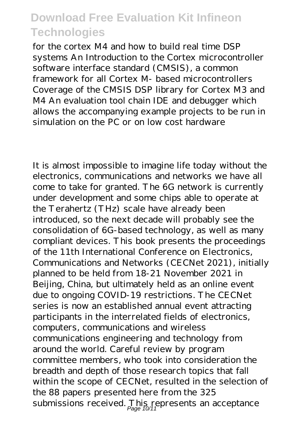for the cortex M4 and how to build real time DSP systems An Introduction to the Cortex microcontroller software interface standard (CMSIS), a common framework for all Cortex M- based microcontrollers Coverage of the CMSIS DSP library for Cortex M3 and M4 An evaluation tool chain IDE and debugger which allows the accompanying example projects to be run in simulation on the PC or on low cost hardware

It is almost impossible to imagine life today without the electronics, communications and networks we have all come to take for granted. The 6G network is currently under development and some chips able to operate at the Terahertz (THz) scale have already been introduced, so the next decade will probably see the consolidation of 6G-based technology, as well as many compliant devices. This book presents the proceedings of the 11th International Conference on Electronics, Communications and Networks (CECNet 2021), initially planned to be held from 18-21 November 2021 in Beijing, China, but ultimately held as an online event due to ongoing COVID-19 restrictions. The CECNet series is now an established annual event attracting participants in the interrelated fields of electronics, computers, communications and wireless communications engineering and technology from around the world. Careful review by program committee members, who took into consideration the breadth and depth of those research topics that fall within the scope of CECNet, resulted in the selection of the 88 papers presented here from the 325 submissions received. This represents an acceptance